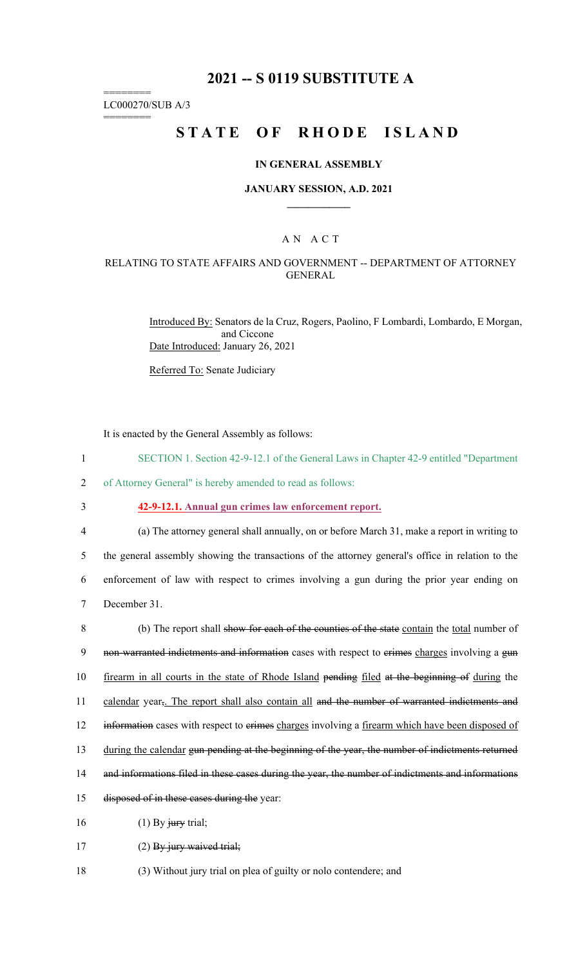## **2021 -- S 0119 SUBSTITUTE A**

======== LC000270/SUB A/3

========

# **STATE OF RHODE ISLAND**

#### **IN GENERAL ASSEMBLY**

#### **JANUARY SESSION, A.D. 2021 \_\_\_\_\_\_\_\_\_\_\_\_**

#### A N A C T

### RELATING TO STATE AFFAIRS AND GOVERNMENT -- DEPARTMENT OF ATTORNEY GENERAL

Introduced By: Senators de la Cruz, Rogers, Paolino, F Lombardi, Lombardo, E Morgan, and Ciccone Date Introduced: January 26, 2021

Referred To: Senate Judiciary

It is enacted by the General Assembly as follows:

1 SECTION 1. Section 42-9-12.1 of the General Laws in Chapter 42-9 entitled "Department

2 of Attorney General" is hereby amended to read as follows:

3 **42-9-12.1. Annual gun crimes law enforcement report.** 

4 (a) The attorney general shall annually, on or before March 31, make a report in writing to 5 the general assembly showing the transactions of the attorney general's office in relation to the 6 enforcement of law with respect to crimes involving a gun during the prior year ending on 7 December 31.

8 (b) The report shall show for each of the counties of the state contain the total number of 9 non-warranted indictments and information cases with respect to erimes charges involving a gun 10 firearm in all courts in the state of Rhode Island pending filed at the beginning of during the 11 calendar year,. The report shall also contain all and the number of warranted indictments and 12 information cases with respect to erimes charges involving a firearm which have been disposed of 13 during the calendar gun pending at the beginning of the year, the number of indictments returned 14 and informations filed in these cases during the year, the number of indictments and informations 15 disposed of in these cases during the year: 16  $(1)$  By jury trial;

17 (2) By jury waived trial;

18 (3) Without jury trial on plea of guilty or nolo contendere; and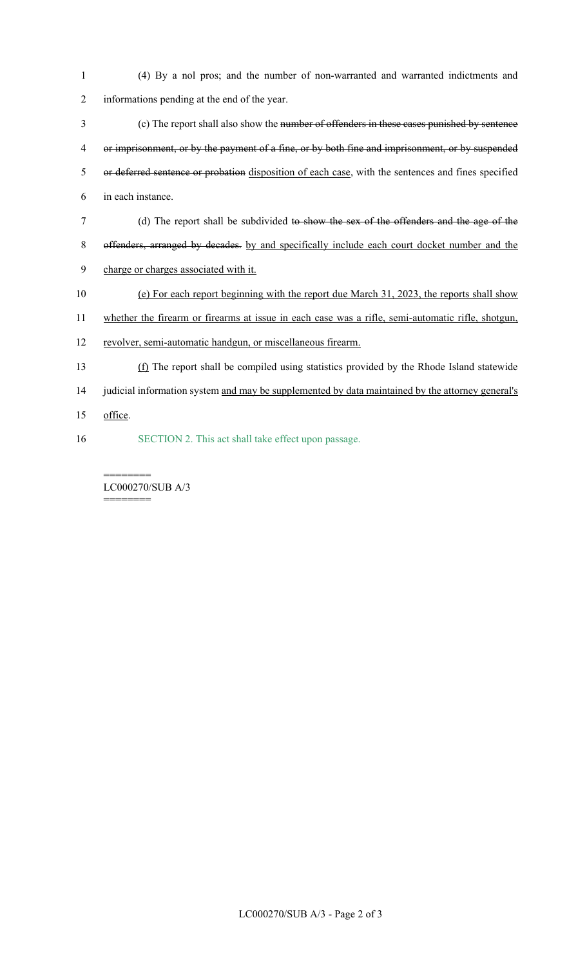1 (4) By a nol pros; and the number of non-warranted and warranted indictments and 2 informations pending at the end of the year. 3 (c) The report shall also show the number of offenders in these cases punished by sentence 4 or imprisonment, or by the payment of a fine, or by both fine and imprisonment, or by suspended

- 5 or deferred sentence or probation disposition of each case, with the sentences and fines specified
- 6 in each instance.
- 7 (d) The report shall be subdivided to show the sex of the offenders and the age of the

8 offenders, arranged by decades. by and specifically include each court docket number and the 9 charge or charges associated with it.

- 10 (e) For each report beginning with the report due March 31, 2023, the reports shall show
- 11 whether the firearm or firearms at issue in each case was a rifle, semi-automatic rifle, shotgun,
- 12 revolver, semi-automatic handgun, or miscellaneous firearm.
- 13 (f) The report shall be compiled using statistics provided by the Rhode Island statewide

14 judicial information system and may be supplemented by data maintained by the attorney general's

- 15 office.
- 16 SECTION 2. This act shall take effect upon passage.

======== LC000270/SUB A/3 ========